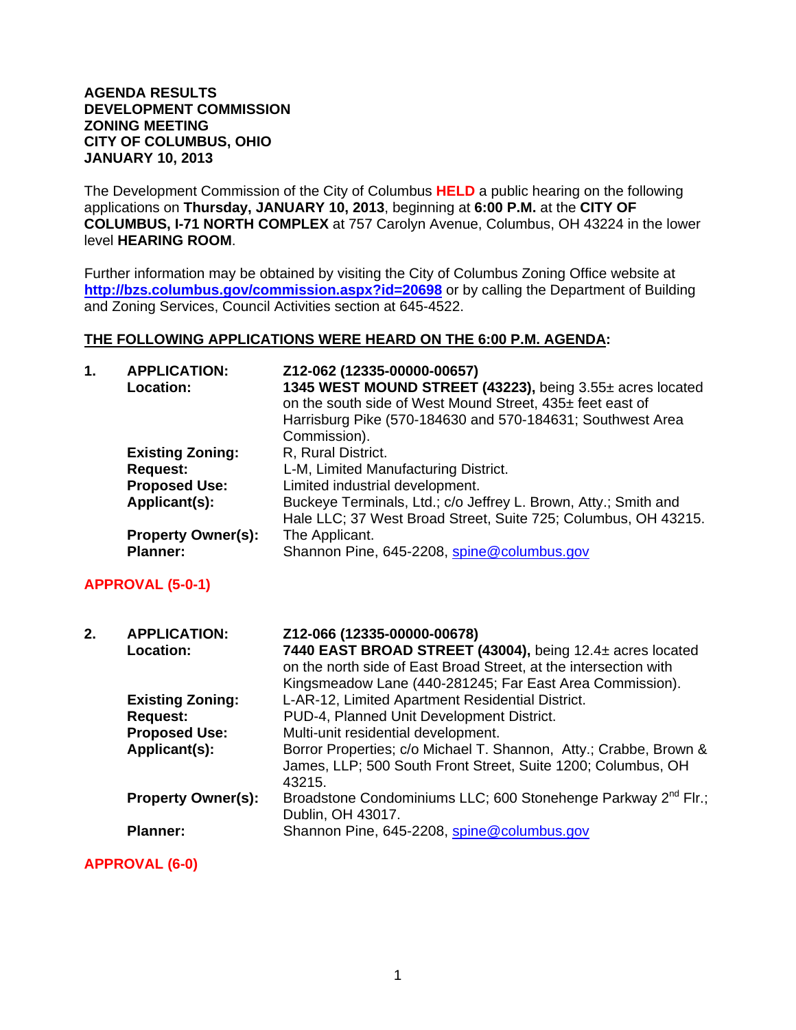## **AGENDA RESULTS DEVELOPMENT COMMISSION ZONING MEETING CITY OF COLUMBUS, OHIO JANUARY 10, 2013**

The Development Commission of the City of Columbus **HELD** a public hearing on the following applications on **Thursday, JANUARY 10, 2013**, beginning at **6:00 P.M.** at the **CITY OF COLUMBUS, I-71 NORTH COMPLEX** at 757 Carolyn Avenue, Columbus, OH 43224 in the lower level **HEARING ROOM**.

Further information may be obtained by visiting the City of Columbus Zoning Office website at **http://bzs.columbus.gov/commission.aspx?id=20698** or by calling the Department of Building and Zoning Services, Council Activities section at 645-4522.

## **THE FOLLOWING APPLICATIONS WERE HEARD ON THE 6:00 P.M. AGENDA:**

| 1. | <b>APPLICATION:</b><br>Location:                                                    | Z12-062 (12335-00000-00657)<br>1345 WEST MOUND STREET (43223), being 3.55± acres located<br>on the south side of West Mound Street, 435± feet east of<br>Harrisburg Pike (570-184630 and 570-184631; Southwest Area<br>Commission). |
|----|-------------------------------------------------------------------------------------|-------------------------------------------------------------------------------------------------------------------------------------------------------------------------------------------------------------------------------------|
|    | <b>Existing Zoning:</b><br><b>Request:</b><br><b>Proposed Use:</b><br>Applicant(s): | R, Rural District.<br>L-M, Limited Manufacturing District.<br>Limited industrial development.<br>Buckeye Terminals, Ltd.; c/o Jeffrey L. Brown, Atty.; Smith and                                                                    |
|    | <b>Property Owner(s):</b><br><b>Planner:</b>                                        | Hale LLC; 37 West Broad Street, Suite 725; Columbus, OH 43215.<br>The Applicant.<br>Shannon Pine, 645-2208, spine@columbus.gov                                                                                                      |
|    | <b>APPROVAL (5-0-1)</b>                                                             |                                                                                                                                                                                                                                     |
|    |                                                                                     |                                                                                                                                                                                                                                     |
| 2. | <b>APPLICATION:</b><br><b>Location:</b>                                             | Z12-066 (12335-00000-00678)<br>7440 EAST BROAD STREET (43004), being 12.4± acres located<br>on the north side of East Broad Street, at the intersection with<br>Kingsmeadow Lane (440-281245; Far East Area Commission).            |
|    | <b>Existing Zoning:</b><br><b>Request:</b><br><b>Proposed Use:</b>                  | L-AR-12, Limited Apartment Residential District.<br>PUD-4, Planned Unit Development District.<br>Multi-unit residential development.                                                                                                |
|    | Applicant(s):                                                                       | Borror Properties; c/o Michael T. Shannon, Atty.; Crabbe, Brown &<br>James, LLP; 500 South Front Street, Suite 1200; Columbus, OH<br>43215.                                                                                         |
|    | <b>Property Owner(s):</b>                                                           | Broadstone Condominiums LLC; 600 Stonehenge Parkway 2 <sup>nd</sup> Flr.;<br>Dublin, OH 43017.                                                                                                                                      |

**APPROVAL (6-0)**